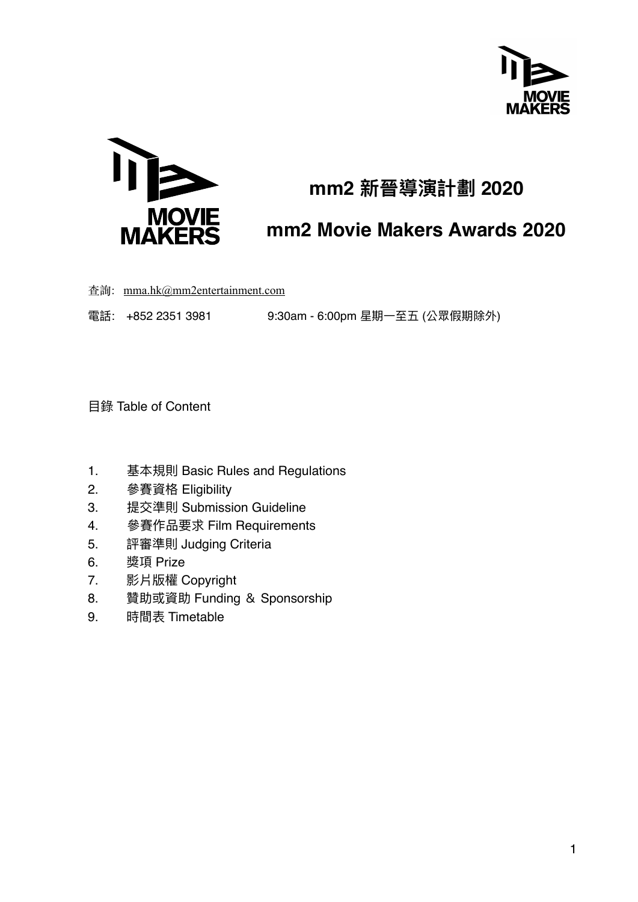



# **mm2 新晉導演計劃 2020**

# **mm2 Movie Makers Awards 2020**

查詢: [mma.hk@mm2entertainment.com](mailto:mma.hk@mm2entertainment.com)

電話: +852 2351 3981 9:30am - 6:00pm 星期一至五 (公眾假期除外)

⽬錄 Table of Content

- 1. 基本規則 Basic Rules and Regulations
- 2. 參賽資格 Eligibility
- 3. 提交準則 Submission Guideline
- 4. 參賽作品要求 Film Requirements
- 5. 評審準則 Judging Criteria
- 6. 獎項 Prize
- 7. 影片版權 Copyright
- 8. 贊助或資助 Funding & Sponsorship
- 9. 時間表 Timetable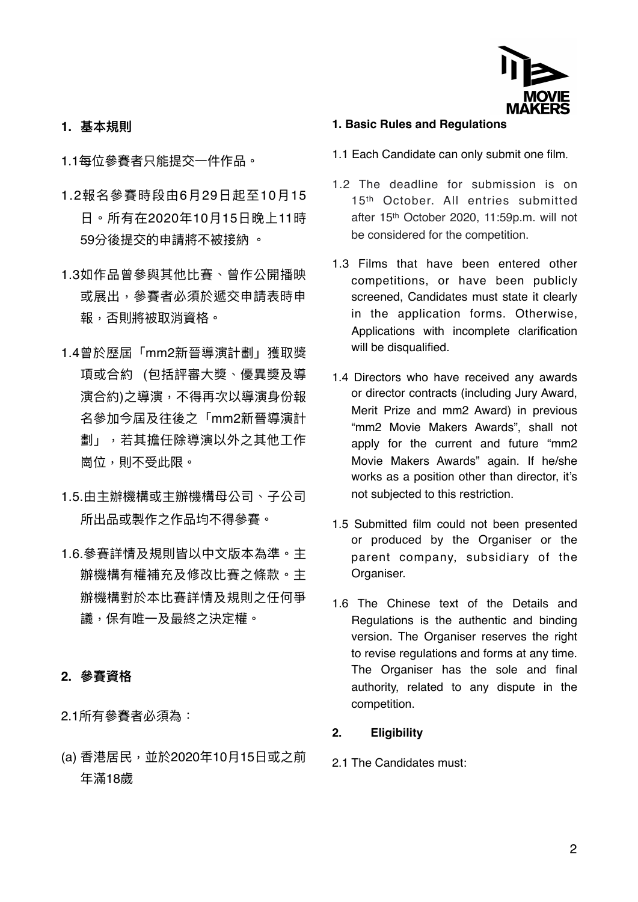

### **1. 基本規則**

1.1每位參賽者只能提交一件作品。

- 1.2報名參賽時段由6⽉29⽇起⾄10⽉15 日。所有在2020年10日15日晚上11時 59分後提交的申請將不被接納 。
- 1.3如作品曾參與其他比賽、曾作公開播映 或展出,參賽者必須於遞交申請表時申 報,否則將被取消資格。
- 1.4曾於歷屆「mm2新晉導演計劃」獲取獎 項或合約 (包括評審⼤獎、優異獎及導 演合約)之導演,不得再次以導演身份報 名參加今屆及往後之「mm2新晉導演計 劃」,若其擔任除導演以外之其他⼯作 崗位,則不受此限。
- 1.5.由主辦機構或主辦機構母公司、子公司 所出品或製作之作品均不得參賽。
- 1.6.參賽詳情及規則皆以中⽂版本為準。主 辦機構有權補充及修改比賽之條款。主 辦機構對於本比賽詳情及規則之任何爭 議,保有唯⼀及最終之決定權。

### **2. 參賽資格**

2.1所有參賽者必須為:

(a) 香港居⺠,並於2020年10⽉15⽇或之前 年滿18歲

#### **1. Basic Rules and Regulations**

- 1.1 Each Candidate can only submit one film.
- 1.2 The deadline for submission is on 15<sup>th</sup> October. All entries submitted after 15th October 2020, 11:59p.m. will not be considered for the competition.
- 1.3 Films that have been entered other competitions, or have been publicly screened, Candidates must state it clearly in the application forms. Otherwise, Applications with incomplete clarification will be disqualified.
- 1.4 Directors who have received any awards or director contracts (including Jury Award, Merit Prize and mm2 Award) in previous "mm2 Movie Makers Awards", shall not apply for the current and future "mm2 Movie Makers Awards" again. If he/she works as a position other than director, it's not subjected to this restriction.
- 1.5 Submitted film could not been presented or produced by the Organiser or the parent company, subsidiary of the Organiser.
- 1.6 The Chinese text of the Details and Regulations is the authentic and binding version. The Organiser reserves the right to revise regulations and forms at any time. The Organiser has the sole and final authority, related to any dispute in the competition.

### **2. Eligibility**

2.1 The Candidates must: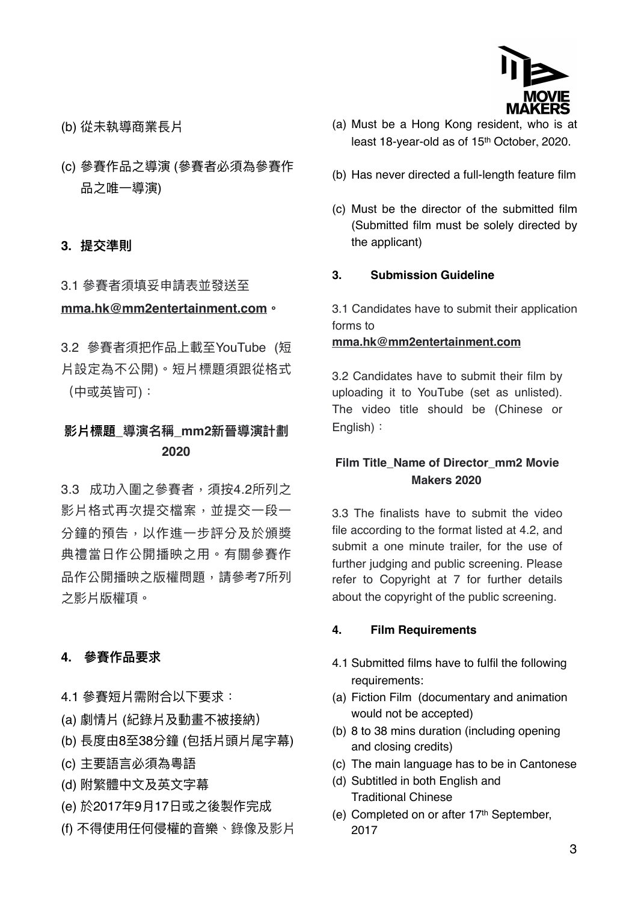

- (b) 從未執導商業長片
- (c) 參賽作品之導演 (參賽者必須為參賽作 品之唯一導演)

#### **3. 提交準則**

# 3.1 參賽者須填妥申請表並發送至 **[mma.hk@mm2entertainment.com](mailto:mma.hk@mm2entertainment.com)。**

3.2 參賽者須把作品上載至YouTube (短 片設定為不公開)。短片標題須跟從格式 (中或英皆可):

# **影片標題\_導演名稱\_mm2新晉導演計劃 2020**

3.3 成功入圍之參賽者,須按4.2所列之 影片格式再次提交檔案,並提交一段一 分鐘的預告,以作進一步評分及於頒獎 典禮當日作公開播映之用。有關參賽作 品作公開播映之版權問題,請參考7所列 之影片版權項。

#### **4. 參賽作品要求**

- 4.1 參賽短片需附合以下要求:
- (a) 劇情片 (紀錄片及動畫不被接納)
- (b) 長度由8⾄38分鐘 (包括片頭片尾字幕)
- (c) 主要語⾔必須為粵語
- (d) 附繁體中⽂及英⽂字幕
- (e) 於2017年9⽉17⽇或之後製作完成
- (f) 不得使用任何侵權的音樂、錄像及影片
- (a) Must be a Hong Kong resident, who is at least 18-year-old as of 15th October, 2020.
- (b) Has never directed a full-length feature film
- (c) Must be the director of the submitted film (Submitted film must be solely directed by the applicant)

#### **3. Submission Guideline**

3.1 Candidates have to submit their application forms to

#### **[mma.hk@mm2entertainment.com](mailto:mma.hk@mm2entertainment.com)**

3.2 Candidates have to submit their film by uploading it to YouTube (set as unlisted). The video title should be (Chinese or English):

### **Film Title\_Name of Director\_mm2 Movie Makers 2020**

3.3 The finalists have to submit the video file according to the format listed at 4.2, and submit a one minute trailer, for the use of further judging and public screening. Please refer to Copyright at 7 for further details about the copyright of the public screening.

#### **4. Film Requirements**

- 4.1 Submitted films have to fulfil the following requirements:
- (a) Fiction Film (documentary and animation would not be accepted)
- (b) 8 to 38 mins duration (including opening and closing credits)
- (c) The main language has to be in Cantonese
- (d) Subtitled in both English and Traditional Chinese
- (e) Completed on or after 17th September, 2017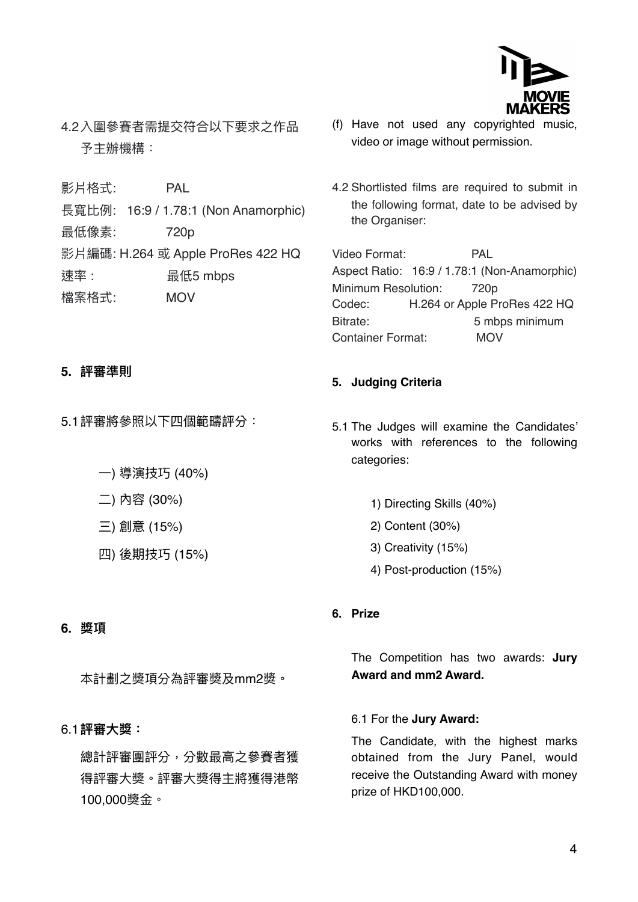

4.2入圍參賽者需提交符合以下要求之作品 予主辦機構:

影片格式: PAL

長寬比例: 16:9 / 1.78:1 (Non Anamorphic)

最低像素: 720p

影片編碼: H.264 或 Apple ProRes 422 HQ

速率: **最低5 mbps** 

檔案格式: MOV

## **5. 評審準則**

5.1評審將參照以下四個範疇評分:

- ⼀) 導演技巧 (40%)
- ⼆) 內容 (30%)
- 三) 創意 (15%)
- 四) 後期技巧 (15%)

# (f) Have not used any copyrighted music, video or image without permission.

4.2 Shortlisted films are required to submit in the following format, date to be advised by the Organiser:

Video Format: PAL Aspect Ratio: 16:9 / 1.78:1 (Non-Anamorphic) Minimum Resolution: 720p Codec: H.264 or Apple ProRes 422 HQ Bitrate: 5 mbps minimum Container Format: MOV

# **5. Judging Criteria**

- 5.1 The Judges will examine the Candidates' works with references to the following categories:
	- 1) Directing Skills (40%)
	- 2) Content (30%)
	- 3) Creativity (15%)

**6. Prize** 

4) Post-production (15%)

## **6. 獎項**

本計劃之獎項分為評審獎及mm2獎。

## 6.1**評審⼤獎:**

總計評審團評分,分數最⾼之參賽者獲 得評審⼤獎。評審⼤獎得主將獲得港幣 100,000獎⾦。

The Competition has two awards: **Jury Award and mm2 Award.** 

### 6.1 For the **Jury Award:**

The Candidate, with the highest marks obtained from the Jury Panel, would receive the Outstanding Award with money prize of HKD100,000.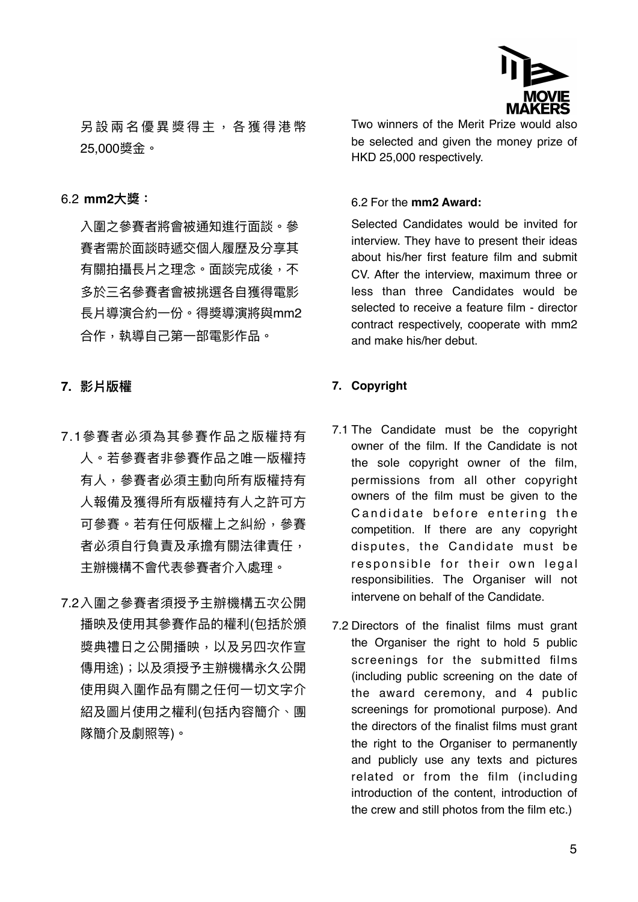

另設兩名優異獎得主,各獲得港幣 25,000獎⾦。

#### 6.2 **mm2⼤獎:**

入圍之參賽者將會被通知進行面談。參 賽者需於⾯談時遞交個⼈履歷及分享其 有關拍攝長片之理念。面談完成後,不 多於三名參賽者會被挑選各⾃獲得電影 長片導演合約⼀份。得獎導演將與mm2 合作,執導⾃⼰第⼀部電影作品。

**7. 影片版權**

- 7.1參賽者必須為其參賽作品之版權持有 人。若參賽者非參賽作品之唯一版權持 有⼈,參賽者必須主動向所有版權持有 人報備及獲得所有版權持有人之許可方 可參賽。若有任何版權上之糾紛,參賽 者必須自行負責及承擔有關法律責任, 主辦機構不會代表參賽者介入處理。
- 7.2入圍之參賽者須授予主辦機構五次公開 播映及使用其參賽作品的權利(包括於頒 獎典禮⽇之公開播映,以及另四次作宣 傳用途);以及須授予主辦機構永久公開 使用與入圍作品有關之任何一切文字介 紹及圖片使用之權利(包括內容簡介、團 隊簡介及劇照等)。

Two winners of the Merit Prize would also be selected and given the money prize of HKD 25,000 respectively.

#### 6.2 For the **mm2 Award:**

Selected Candidates would be invited for interview. They have to present their ideas about his/her first feature film and submit CV. After the interview, maximum three or less than three Candidates would be selected to receive a feature film - director contract respectively, cooperate with mm2 and make his/her debut.

#### **7. Copyright**

- 7.1 The Candidate must be the copyright owner of the film. If the Candidate is not the sole copyright owner of the film, permissions from all other copyright owners of the film must be given to the Candidate before entering the competition. If there are any copyright disputes, the Candidate must be responsible for their own legal responsibilities. The Organiser will not intervene on behalf of the Candidate.
- 7.2 Directors of the finalist films must grant the Organiser the right to hold 5 public screenings for the submitted films (including public screening on the date of the award ceremony, and 4 public screenings for promotional purpose). And the directors of the finalist films must grant the right to the Organiser to permanently and publicly use any texts and pictures related or from the film (including introduction of the content, introduction of the crew and still photos from the film etc.)